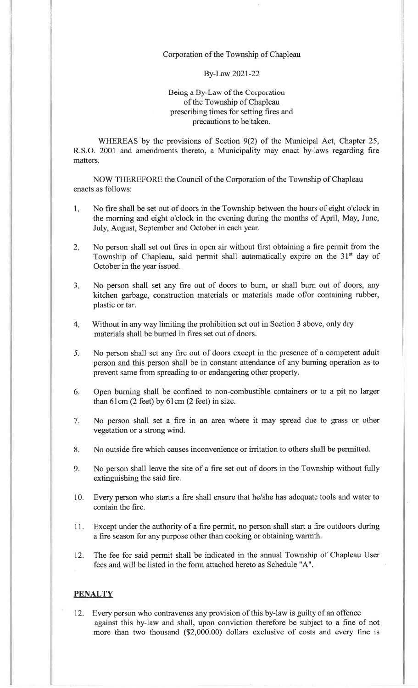## Corporation of the Township of Chapleau

## By-Law 2021-22

## Being a By-Law of the Corporation of the Township of Chapleau prescribing times for setting fires andprecautions to be taken.

WHEREAS by the provisions of Section 9(2) of the Municipal Act, Chapter 25, R.S.O. 2001 and amendments thereto, a Municipality may enact by-laws regarding firematters.

NOW THEREFORE the Council of the Corporation of the Township of Chapleauenacts as follows:

- 1No fire shall be set out of doors in the Township between the hours of eight o'clock in the morning and eight o'clock in the evening during the months of April, May, June, July, August, September and October in each year.
- 2. No person shall set out fires in open air without first obtaining a fire permit from theTownship of Chapleau, said permit shall automatically expire on the 31st day of October in the year issued.
- $3.$ No person shall set any fire out of doors to burn, or shall bum out of doors, anykitchen garbage, construction materials or materials made of/or containing rubber plastic or tar.
- 4Without in any way limiting the prohibition set out in Section 3 above, only drymaterials shall be bumed in fires set out of doors.
- $5.$ No person shall set any fire out of doors except in the presence of a competent adult person and this person shall be in constant attendance of any burning operation as toprevent same from spreading to or endangering other property.
- 6Open burning shall be confined to non-combustible containers or to a pit no largerthan 61cm (2 feet) by 61cm (2 feet) in size.
- 7No person shall set a fire in an area where it may spread due to grass or othervegetation or a strong wind.
- 8. No outside fire which causes inconvenience or irritation to others shall be permitted.
- 9. No person shall leave the site of a fire set out of doors in the Township without fullyextinguishing the said fire.
- 10. Every person who starts a fire shall ensure that he/she has adequate tools and water tocontain the fire.
- 11. Except under the authority of a fire permit, no person shall start a fire outdoors during a fire season for any purpose other than cooking or obtaining warmth.
- 12. The fee for said permit shall be indicated in the annual Township of Chapleau Userfees and will be listed in the form attached hereto as Schedule "A".

## **PENALTY**

12. Every person who contravenes any provision of this by-law is guilty of an offence against this by-law and shall, upon oonviction therefore be subject to a fine of notmore than two thousand (\$2,000.00) dollars exclusive of costs and every fine is